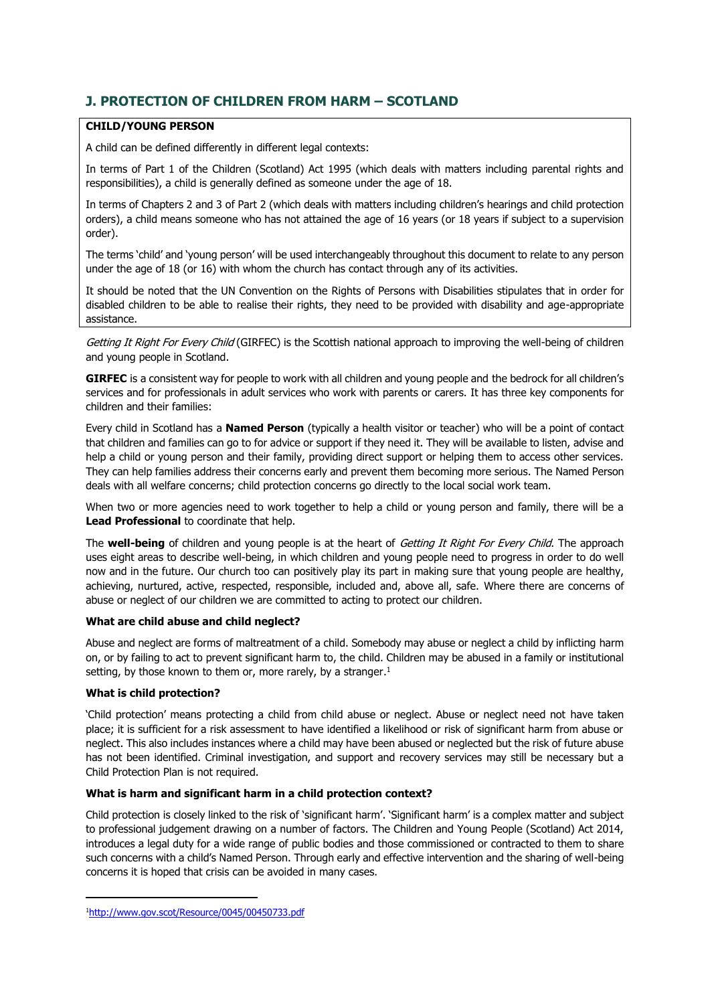# **J. PROTECTION OF CHILDREN FROM HARM – SCOTLAND**

## **CHILD/YOUNG PERSON**

A child can be defined differently in different legal contexts:

In terms of Part 1 of the Children (Scotland) Act 1995 (which deals with matters including parental rights and responsibilities), a child is generally defined as someone under the age of 18.

In terms of Chapters 2 and 3 of Part 2 (which deals with matters including children's hearings and child protection orders), a child means someone who has not attained the age of 16 years (or 18 years if subject to a supervision order).

The terms 'child' and 'young person' will be used interchangeably throughout this document to relate to any person under the age of 18 (or 16) with whom the church has contact through any of its activities.

It should be noted that the UN Convention on the Rights of Persons with Disabilities stipulates that in order for disabled children to be able to realise their rights, they need to be provided with disability and age-appropriate assistance.

Getting It Right For Every Child (GIRFEC) is the Scottish national approach to improving the well-being of children and young people in Scotland.

**GIRFEC** is a consistent way for people to work with all children and young people and the bedrock for all children's services and for professionals in adult services who work with parents or carers. It has three key components for children and their families:

Every child in Scotland has a **Named Person** (typically a health visitor or teacher) who will be a point of contact that children and families can go to for advice or support if they need it. They will be available to listen, advise and help a child or young person and their family, providing direct support or helping them to access other services. They can help families address their concerns early and prevent them becoming more serious. The Named Person deals with all welfare concerns; child protection concerns go directly to the local social work team.

When two or more agencies need to work together to help a child or young person and family, there will be a **Lead Professional** to coordinate that help.

The **well-being** of children and young people is at the heart of Getting It Right For Every Child. The approach uses eight areas to describe well-being, in which children and young people need to progress in order to do well now and in the future. Our church too can positively play its part in making sure that young people are healthy, achieving, nurtured, active, respected, responsible, included and, above all, safe. Where there are concerns of abuse or neglect of our children we are committed to acting to protect our children.

### **What are child abuse and child neglect?**

Abuse and neglect are forms of maltreatment of a child. Somebody may abuse or neglect a child by inflicting harm on, or by failing to act to prevent significant harm to, the child. Children may be abused in a family or institutional setting, by those known to them or, more rarely, by a stranger.<sup>1</sup>

### **What is child protection?**

'Child protection' means protecting a child from child abuse or neglect. Abuse or neglect need not have taken place; it is sufficient for a risk assessment to have identified a likelihood or risk of significant harm from abuse or neglect. This also includes instances where a child may have been abused or neglected but the risk of future abuse has not been identified. Criminal investigation, and support and recovery services may still be necessary but a Child Protection Plan is not required.

### **What is harm and significant harm in a child protection context?**

Child protection is closely linked to the risk of 'significant harm'. 'Significant harm' is a complex matter and subject to professional judgement drawing on a number of factors. The Children and Young People (Scotland) Act 2014, introduces a legal duty for a wide range of public bodies and those commissioned or contracted to them to share such concerns with a child's Named Person. Through early and effective intervention and the sharing of well-being concerns it is hoped that crisis can be avoided in many cases.

<sup>1</sup><http://www.gov.scot/Resource/0045/00450733.pdf>